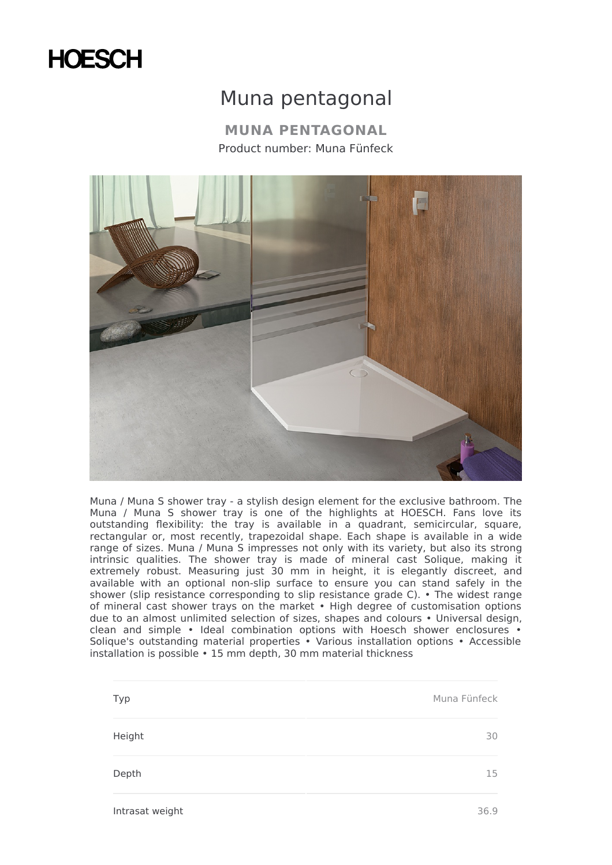## **HOESCH**

## Muna pentagonal

**MUNA PENTAGONAL** Product number: Muna Fünfeck



Muna / Muna S shower tray - a stylish design element for the exclusive bathroom. The Muna / Muna S shower tray is one of the highlights at HOESCH. Fans love its outstanding flexibility: the tray is available in a quadrant, semicircular, square, rectangular or, most recently, trapezoidal shape. Each shape is available in a wide range of sizes. Muna / Muna S impresses not only with its variety, but also its strong intrinsic qualities. The shower tray is made of mineral cast Solique, making it extremely robust. Measuring just 30 mm in height, it is elegantly discreet, and available with an optional non-slip surface to ensure you can stand safely in the shower (slip resistance corresponding to slip resistance grade C). • The widest range of mineral cast shower trays on the market • High degree of customisation options due to an almost unlimited selection of sizes, shapes and colours • Universal design, clean and simple • Ideal combination options with Hoesch shower enclosures • Solique's outstanding material properties • Various installation options • Accessible installation is possible • 15 mm depth, 30 mm material thickness

| Muna Fünfeck |
|--------------|
| 30           |
| 15           |
|              |

Intrasat weight 36.9